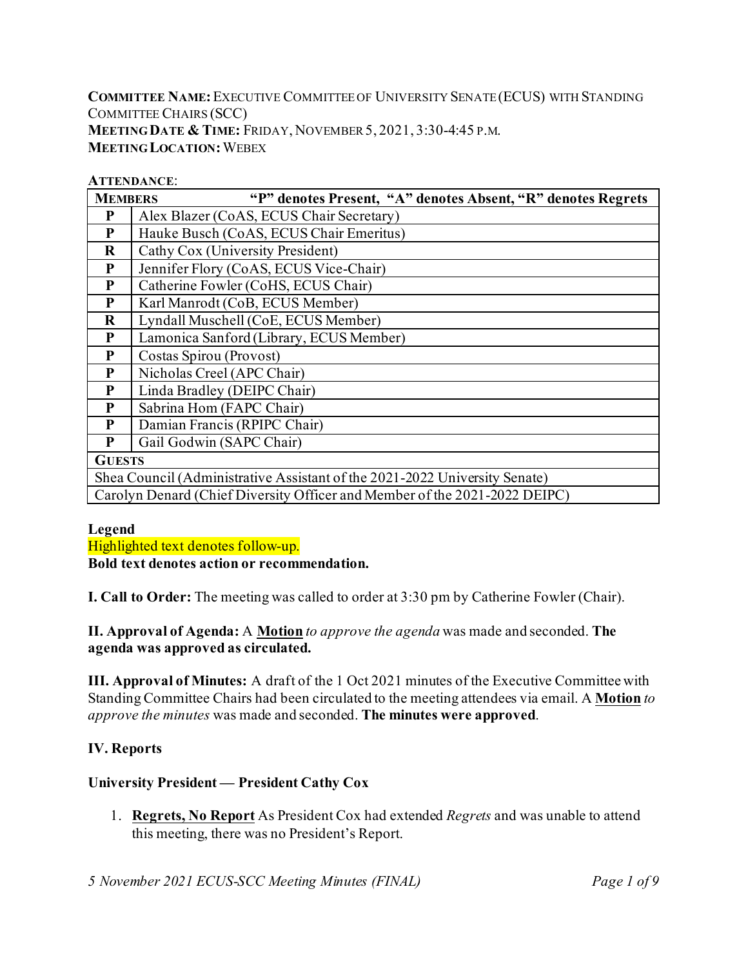**COMMITTEE NAME:**EXECUTIVE COMMITTEE OF UNIVERSITY SENATE (ECUS) WITH STANDING COMMITTEE CHAIRS (SCC) **MEETING DATE & TIME:** FRIDAY, NOVEMBER5, 2021, 3:30-4:45 P.M. **MEETING LOCATION:**WEBEX

#### **ATTENDANCE**:

| <b>MEMBERS</b> | "P" denotes Present, "A" denotes Absent, "R" denotes Regrets               |
|----------------|----------------------------------------------------------------------------|
| P              | Alex Blazer (CoAS, ECUS Chair Secretary)                                   |
| P              | Hauke Busch (CoAS, ECUS Chair Emeritus)                                    |
| $\bf R$        | Cathy Cox (University President)                                           |
| P              | Jennifer Flory (CoAS, ECUS Vice-Chair)                                     |
| P              | Catherine Fowler (CoHS, ECUS Chair)                                        |
| P              | Karl Manrodt (CoB, ECUS Member)                                            |
| $\bf R$        | Lyndall Muschell (CoE, ECUS Member)                                        |
| P              | Lamonica Sanford (Library, ECUS Member)                                    |
| P              | Costas Spirou (Provost)                                                    |
| P              | Nicholas Creel (APC Chair)                                                 |
| P              | Linda Bradley (DEIPC Chair)                                                |
| P              | Sabrina Hom (FAPC Chair)                                                   |
| P              | Damian Francis (RPIPC Chair)                                               |
| P              | Gail Godwin (SAPC Chair)                                                   |
| <b>GUESTS</b>  |                                                                            |
|                | Shea Council (Administrative Assistant of the 2021-2022 University Senate) |
|                | Carolyn Denard (Chief Diversity Officer and Member of the 2021-2022 DEIPC) |

### **Legend**

Highlighted text denotes follow-up.

**Bold text denotes action or recommendation.**

**I. Call to Order:** The meeting was called to order at 3:30 pm by Catherine Fowler (Chair).

**II. Approval of Agenda:** A **Motion** *to approve the agenda* was made and seconded. **The agenda was approved as circulated.**

**III. Approval of Minutes:** A draft of the 1 Oct 2021 minutes of the Executive Committee with Standing Committee Chairs had been circulated to the meeting attendees via email. A **Motion** *to approve the minutes* was made and seconded. **The minutes were approved**.

### **IV. Reports**

## **University President — President Cathy Cox**

1. **Regrets, No Report** As President Cox had extended *Regrets* and was unable to attend this meeting, there was no President's Report.

*5 November 2021 ECUS-SCC Meeting Minutes (FINAL) Page 1 of 9*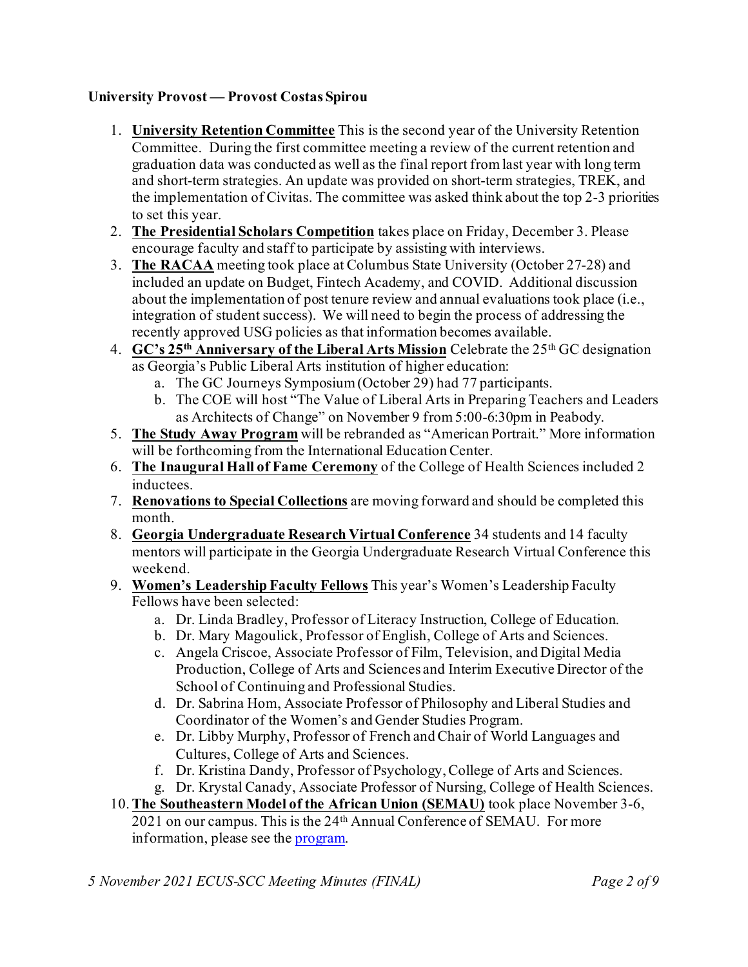### **University Provost — Provost Costas Spirou**

- 1. **University Retention Committee** This is the second year of the University Retention Committee. During the first committee meeting a review of the current retention and graduation data was conducted as well as the final report from last year with long term and short-term strategies. An update was provided on short-term strategies, TREK, and the implementation of Civitas. The committee was asked think about the top 2-3 priorities to set this year.
- 2. **The Presidential Scholars Competition** takes place on Friday, December 3. Please encourage faculty and staff to participate by assisting with interviews.
- 3. **The RACAA** meeting took place at Columbus State University (October 27-28) and included an update on Budget, Fintech Academy, and COVID. Additional discussion about the implementation of post tenure review and annual evaluations took place (i.e., integration of student success). We will need to begin the process of addressing the recently approved USG policies as that information becomes available.
- 4. **GC's 25th Anniversary of the Liberal Arts Mission** Celebrate the 25th GC designation as Georgia's Public Liberal Arts institution of higher education:
	- a. The GC Journeys Symposium (October 29) had 77 participants.
	- b. The COE will host "The Value of Liberal Arts in Preparing Teachers and Leaders as Architects of Change" on November 9 from 5:00-6:30pm in Peabody.
- 5. **The Study Away Program** will be rebranded as "American Portrait." More information will be forthcoming from the International Education Center.
- 6. **The Inaugural Hall of Fame Ceremony** of the College of Health Sciences included 2 inductees.
- 7. **Renovations to Special Collections** are moving forward and should be completed this month.
- 8. **Georgia Undergraduate Research Virtual Conference** 34 students and 14 faculty mentors will participate in the Georgia Undergraduate Research Virtual Conference this weekend.
- 9. **Women's Leadership Faculty Fellows** This year's Women's Leadership Faculty Fellows have been selected:
	- a. Dr. Linda Bradley, Professor of Literacy Instruction, College of Education.
	- b. Dr. Mary Magoulick, Professor of English, College of Arts and Sciences.
	- c. Angela Criscoe, Associate Professor of Film, Television, and Digital Media Production, College of Arts and Sciences and Interim Executive Director of the School of Continuing and Professional Studies.
	- d. Dr. Sabrina Hom, Associate Professor of Philosophy and Liberal Studies and Coordinator of the Women's and Gender Studies Program.
	- e. Dr. Libby Murphy, Professor of French and Chair of World Languages and Cultures, College of Arts and Sciences.
	- f. Dr. Kristina Dandy, Professor of Psychology, College of Arts and Sciences.
	- g. Dr. Krystal Canady, Associate Professor of Nursing, College of Health Sciences.
- 10.**The Southeastern Model of the African Union (SEMAU)** took place November 3-6, 2021 on our campus. This is the 24<sup>th</sup> Annual Conference of SEMAU. For more information, please see the **program**.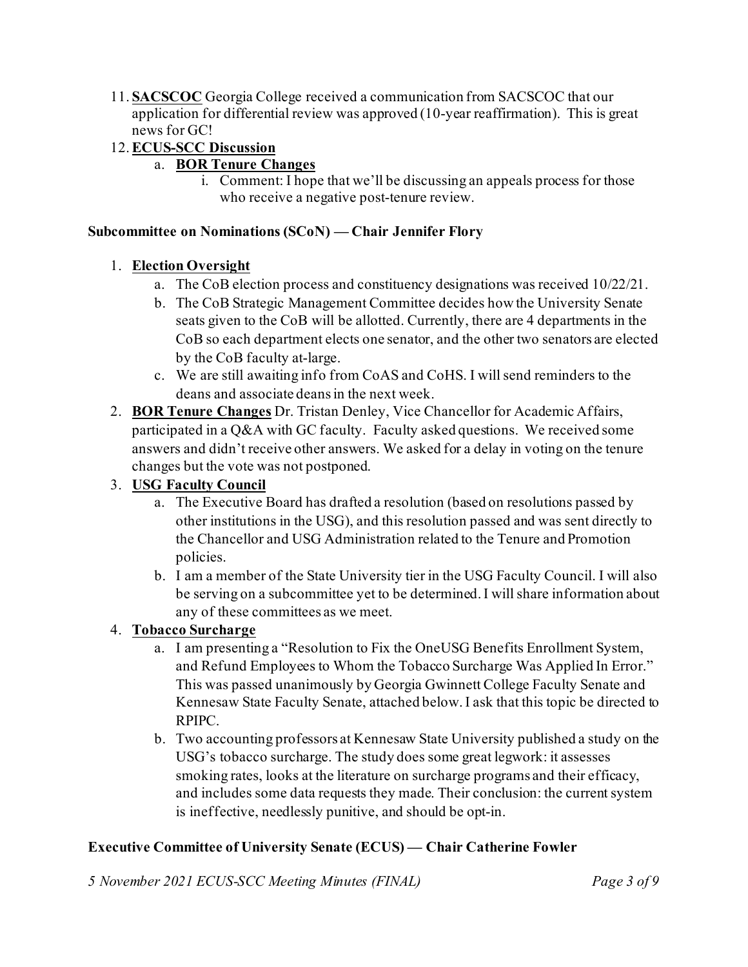11. **SACSCOC** Georgia College received a communication from SACSCOC that our application for differential review was approved (10-year reaffirmation). This is great news for GC!

## 12.**ECUS-SCC Discussion**

- a. **BOR Tenure Changes**
	- i. Comment: I hope that we'll be discussing an appeals process for those who receive a negative post-tenure review.

#### **Subcommittee on Nominations (SCoN) — Chair Jennifer Flory**

### 1. **Election Oversight**

- a. The CoB election process and constituency designations was received 10/22/21.
- b. The CoB Strategic Management Committee decides how the University Senate seats given to the CoB will be allotted. Currently, there are 4 departments in the CoB so each department elects one senator, and the other two senators are elected by the CoB faculty at-large.
- c. We are still awaiting info from CoAS and CoHS. I will send reminders to the deans and associate deans in the next week.
- 2. **BOR Tenure Changes** Dr. Tristan Denley, Vice Chancellor for Academic Affairs, participated in a Q&A with GC faculty. Faculty asked questions. We received some answers and didn't receive other answers. We asked for a delay in voting on the tenure changes but the vote was not postponed.

### 3. **USG Faculty Council**

- a. The Executive Board has drafted a resolution (based on resolutions passed by other institutions in the USG), and this resolution passed and was sent directly to the Chancellor and USG Administration related to the Tenure and Promotion policies.
- b. I am a member of the State University tier in the USG Faculty Council. I will also be serving on a subcommittee yet to be determined. I will share information about any of these committees as we meet.

### 4. **Tobacco Surcharge**

- a. I am presenting a "Resolution to Fix the OneUSG Benefits Enrollment System, and Refund Employees to Whom the Tobacco Surcharge Was Applied In Error." This was passed unanimously by Georgia Gwinnett College Faculty Senate and Kennesaw State Faculty Senate, attached below. I ask that this topic be directed to RPIPC.
- b. Two accounting professors at Kennesaw State University published a study on the USG's tobacco surcharge. The study does some great legwork: it assesses smoking rates, looks at the literature on surcharge programs and their efficacy, and includes some data requests they made. Their conclusion: the current system is ineffective, needlessly punitive, and should be opt-in.

## **Executive Committee of University Senate (ECUS) — Chair Catherine Fowler**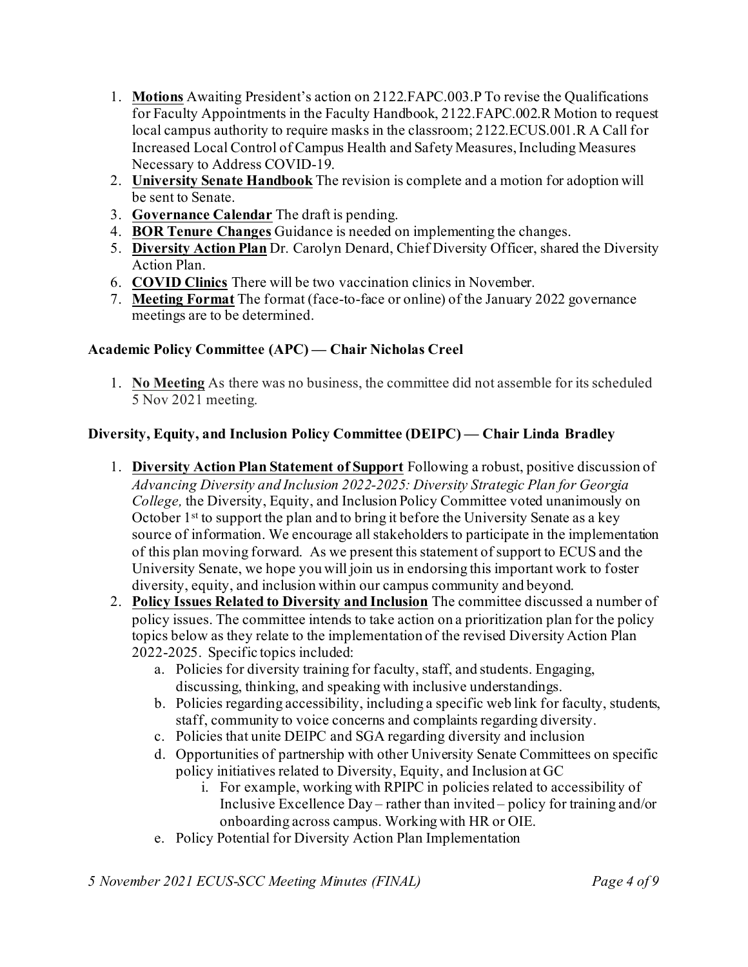- 1. **Motions** Awaiting President's action on 2122.FAPC.003.P To revise the Qualifications for Faculty Appointments in the Faculty Handbook, 2122.FAPC.002.R Motion to request local campus authority to require masks in the classroom; 2122.ECUS.001.R A Call for Increased Local Control of Campus Health and Safety Measures, Including Measures Necessary to Address COVID-19.
- 2. **University Senate Handbook** The revision is complete and a motion for adoption will be sent to Senate.
- 3. **Governance Calendar** The draft is pending.
- 4. **BOR Tenure Changes** Guidance is needed on implementing the changes.
- 5. **Diversity Action Plan** Dr. Carolyn Denard, Chief Diversity Officer, shared the Diversity Action Plan.
- 6. **COVID Clinics** There will be two vaccination clinics in November.
- 7. **Meeting Format** The format (face-to-face or online) of the January 2022 governance meetings are to be determined.

## **Academic Policy Committee (APC) — Chair Nicholas Creel**

1. **No Meeting** As there was no business, the committee did not assemble for its scheduled 5 Nov 2021 meeting.

## **Diversity, Equity, and Inclusion Policy Committee (DEIPC) — Chair Linda Bradley**

- 1. **Diversity Action Plan Statement of Support** Following a robust, positive discussion of *Advancing Diversity and Inclusion 2022-2025: Diversity Strategic Plan for Georgia College,* the Diversity, Equity, and Inclusion Policy Committee voted unanimously on October  $1<sup>st</sup>$  to support the plan and to bring it before the University Senate as a key source of information. We encourage all stakeholders to participate in the implementation of this plan moving forward. As we present this statement of support to ECUS and the University Senate, we hope you will join us in endorsing this important work to foster diversity, equity, and inclusion within our campus community and beyond.
- 2. **Policy Issues Related to Diversity and Inclusion** The committee discussed a number of policy issues. The committee intends to take action on a prioritization plan for the policy topics below as they relate to the implementation of the revised Diversity Action Plan 2022-2025. Specific topics included:
	- a. Policies for diversity training for faculty, staff, and students. Engaging, discussing, thinking, and speaking with inclusive understandings.
	- b. Policies regarding accessibility, including a specific web link for faculty, students, staff, community to voice concerns and complaints regarding diversity.
	- c. Policies that unite DEIPC and SGA regarding diversity and inclusion
	- d. Opportunities of partnership with other University Senate Committees on specific policy initiatives related to Diversity, Equity, and Inclusion at GC
		- i. For example, working with RPIPC in policies related to accessibility of Inclusive Excellence Day – rather than invited – policy for training and/or onboarding across campus. Working with HR or OIE.
	- e. Policy Potential for Diversity Action Plan Implementation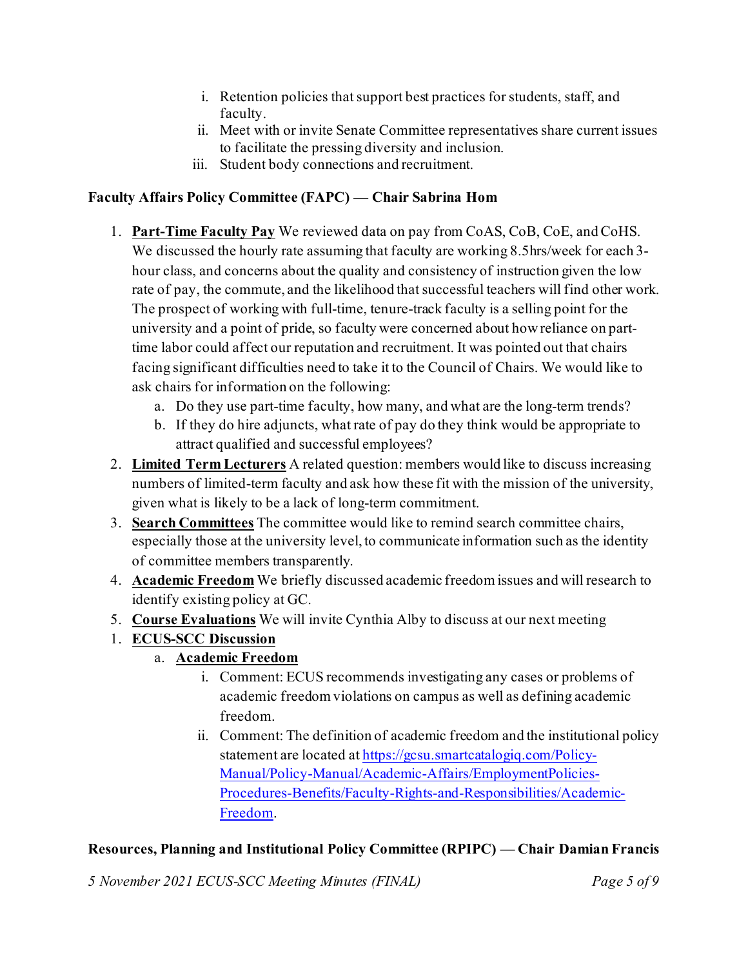- i. Retention policies that support best practices for students, staff, and faculty.
- ii. Meet with or invite Senate Committee representatives share current issues to facilitate the pressing diversity and inclusion.
- iii. Student body connections and recruitment.

## **Faculty Affairs Policy Committee (FAPC) — Chair Sabrina Hom**

- 1. **Part-Time Faculty Pay** We reviewed data on pay from CoAS, CoB, CoE, and CoHS. We discussed the hourly rate assuming that faculty are working 8.5hrs/week for each 3hour class, and concerns about the quality and consistency of instruction given the low rate of pay, the commute, and the likelihood that successful teachers will find other work. The prospect of working with full-time, tenure-track faculty is a selling point for the university and a point of pride, so faculty were concerned about how reliance on parttime labor could affect our reputation and recruitment. It was pointed out that chairs facing significant difficulties need to take it to the Council of Chairs. We would like to ask chairs for information on the following:
	- a. Do they use part-time faculty, how many, and what are the long-term trends?
	- b. If they do hire adjuncts, what rate of pay do they think would be appropriate to attract qualified and successful employees?
- 2. **Limited Term Lecturers** A related question: members would like to discuss increasing numbers of limited-term faculty and ask how these fit with the mission of the university, given what is likely to be a lack of long-term commitment.
- 3. **Search Committees** The committee would like to remind search committee chairs, especially those at the university level, to communicate information such as the identity of committee members transparently.
- 4. **Academic Freedom** We briefly discussed academic freedom issues and will research to identify existing policy at GC.
- 5. **Course Evaluations** We will invite Cynthia Alby to discuss at our next meeting
- 1. **ECUS-SCC Discussion**
	- a. **Academic Freedom**
		- i. Comment: ECUS recommends investigating any cases or problems of academic freedom violations on campus as well as defining academic freedom.
		- ii. Comment: The definition of academic freedom and the institutional policy statement are located at [https://gcsu.smartcatalogiq.com/Policy-](https://gcsu.smartcatalogiq.com/Policy-Manual/Policy-Manual/Academic-Affairs/EmploymentPolicies-Procedures-Benefits/Faculty-Rights-and-Responsibilities/Academic-Freedom)[Manual/Policy-Manual/Academic-Affairs/EmploymentPolicies-](https://gcsu.smartcatalogiq.com/Policy-Manual/Policy-Manual/Academic-Affairs/EmploymentPolicies-Procedures-Benefits/Faculty-Rights-and-Responsibilities/Academic-Freedom)[Procedures-Benefits/Faculty-Rights-and-Responsibilities/Academic-](https://gcsu.smartcatalogiq.com/Policy-Manual/Policy-Manual/Academic-Affairs/EmploymentPolicies-Procedures-Benefits/Faculty-Rights-and-Responsibilities/Academic-Freedom)[Freedom.](https://gcsu.smartcatalogiq.com/Policy-Manual/Policy-Manual/Academic-Affairs/EmploymentPolicies-Procedures-Benefits/Faculty-Rights-and-Responsibilities/Academic-Freedom)

# **Resources, Planning and Institutional Policy Committee (RPIPC) — Chair Damian Francis**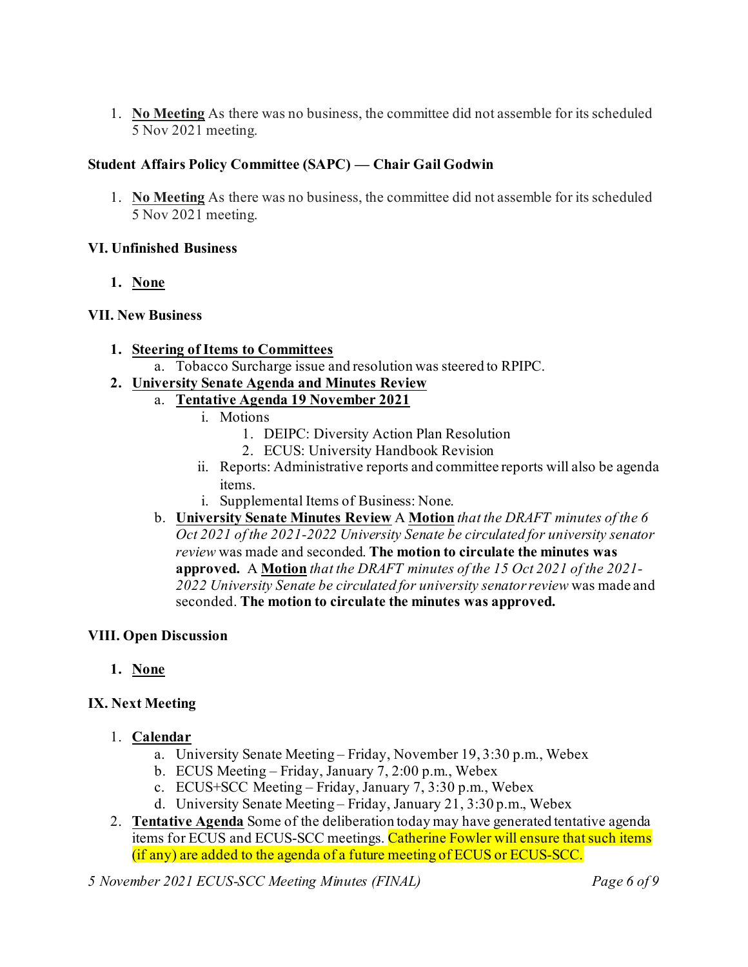1. **No Meeting** As there was no business, the committee did not assemble for its scheduled 5 Nov 2021 meeting.

## **Student Affairs Policy Committee (SAPC) — Chair Gail Godwin**

1. **No Meeting** As there was no business, the committee did not assemble for its scheduled 5 Nov 2021 meeting.

### **VI. Unfinished Business**

**1. None**

### **VII. New Business**

- **1. Steering of Items to Committees**
	- a. Tobacco Surcharge issue and resolution was steered to RPIPC.

### **2. University Senate Agenda and Minutes Review**

- a. **Tentative Agenda 19 November 2021**
	- i. Motions
		- 1. DEIPC: Diversity Action Plan Resolution
		- 2. ECUS: University Handbook Revision
	- ii. Reports: Administrative reports and committee reports will also be agenda items.
	- i. Supplemental Items of Business: None.
- b. **University Senate Minutes Review** A **Motion** *that the DRAFT minutes of the 6 Oct 2021 of the 2021-2022 University Senate be circulated for university senator review* was made and seconded. **The motion to circulate the minutes was approved.** A **Motion** *that the DRAFT minutes of the 15 Oct 2021 of the 2021- 2022 University Senate be circulated for university senator review* was made and seconded. **The motion to circulate the minutes was approved.**

### **VIII. Open Discussion**

**1. None**

## **IX. Next Meeting**

- 1. **Calendar**
	- a. University Senate Meeting Friday, November 19, 3:30 p.m., Webex
	- b. ECUS Meeting Friday, January 7, 2:00 p.m., Webex
	- c. ECUS+SCC Meeting Friday, January 7, 3:30 p.m., Webex
	- d. University Senate Meeting Friday, January 21, 3:30 p.m., Webex
- 2. **Tentative Agenda** Some of the deliberation today may have generated tentative agenda items for ECUS and ECUS-SCC meetings. Catherine Fowler will ensure that such items (if any) are added to the agenda of a future meeting of ECUS or ECUS-SCC.

*5 November 2021 ECUS-SCC Meeting Minutes (FINAL) Page 6 of 9*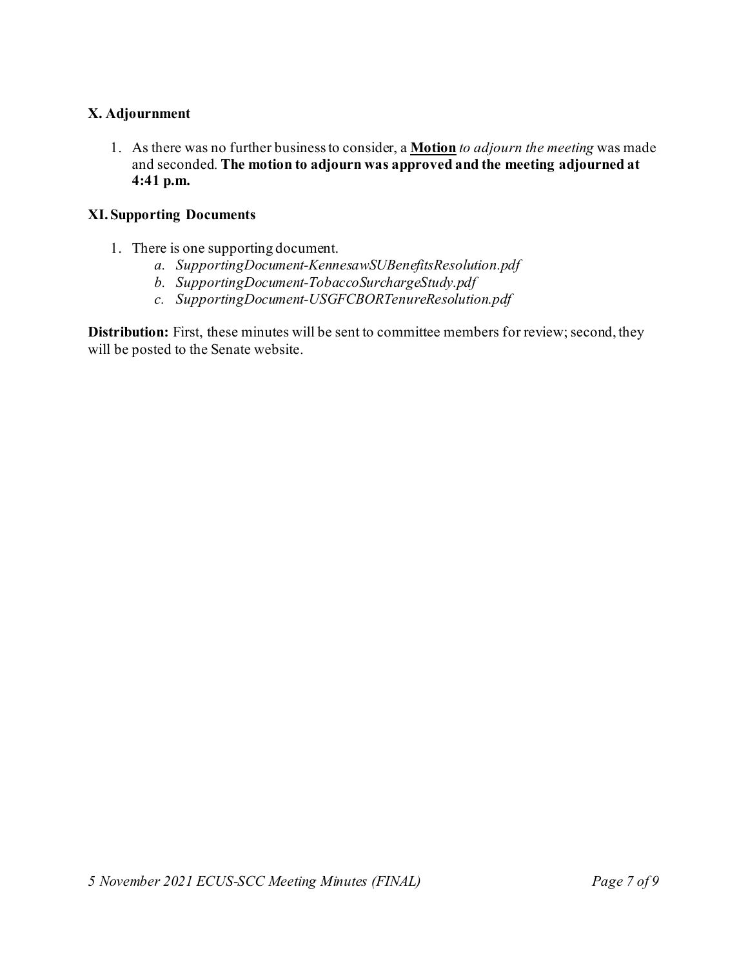### **X. Adjournment**

1. As there was no further business to consider, a **Motion** *to adjourn the meeting* was made and seconded. **The motion to adjourn was approved and the meeting adjourned at 4:41 p.m.**

#### **XI. Supporting Documents**

- 1. There is one supporting document.
	- *a. SupportingDocument-KennesawSUBenefitsResolution.pdf*
	- *b. SupportingDocument-TobaccoSurchargeStudy.pdf*
	- *c. SupportingDocument-USGFCBORTenureResolution.pdf*

**Distribution:** First, these minutes will be sent to committee members for review; second, they will be posted to the Senate website.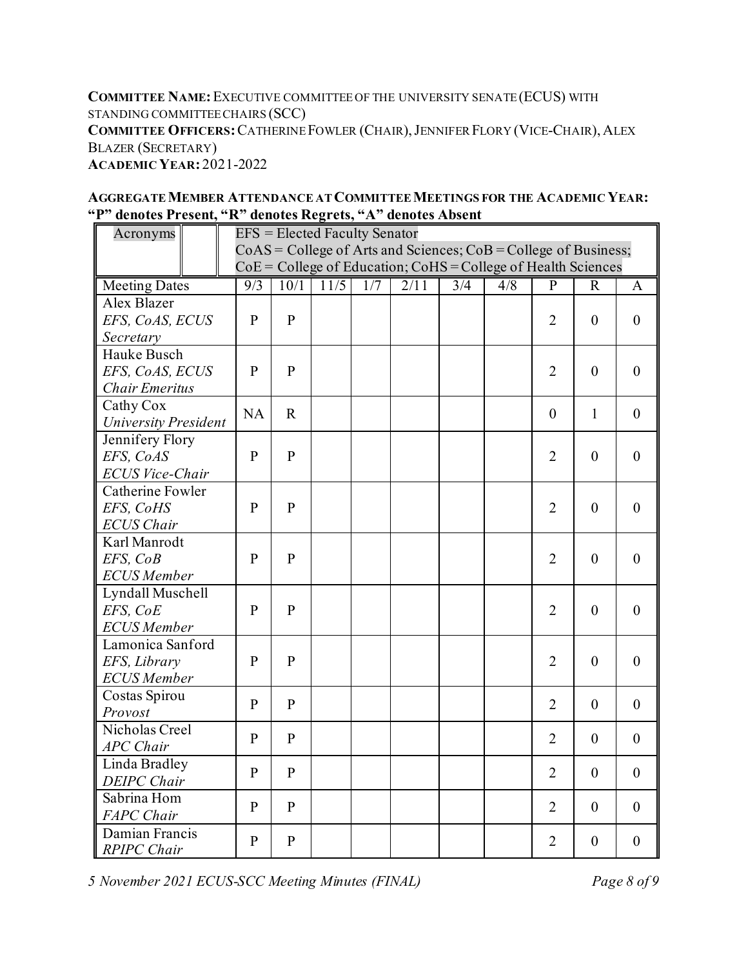**COMMITTEE NAME:**EXECUTIVE COMMITTEE OF THE UNIVERSITY SENATE (ECUS) WITH STANDING COMMITTEE CHAIRS (SCC) **COMMITTEE OFFICERS:**CATHERINE FOWLER (CHAIR),JENNIFER FLORY (VICE-CHAIR), ALEX BLAZER (SECRETARY) **ACADEMIC YEAR:** 2021-2022

| Acronyms                           | <b>EFS</b> = Elected Faculty Senator                                |                                                                   |      |     |      |                          |     |                |                |                  |  |
|------------------------------------|---------------------------------------------------------------------|-------------------------------------------------------------------|------|-----|------|--------------------------|-----|----------------|----------------|------------------|--|
|                                    | $CoAS = College$ of Arts and Sciences; $CoB = College$ of Business; |                                                                   |      |     |      |                          |     |                |                |                  |  |
|                                    |                                                                     | $CoE = College$ of Education; $CoHS = College$ of Health Sciences |      |     |      |                          |     |                |                |                  |  |
| <b>Meeting Dates</b>               | 9/3                                                                 | 10/1                                                              | 11/5 | 1/7 | 2/11 | $\overline{\frac{3}{4}}$ | 4/8 | $\overline{P}$ | $\mathbf R$    | A                |  |
| Alex Blazer                        |                                                                     |                                                                   |      |     |      |                          |     |                |                |                  |  |
| EFS, CoAS, ECUS                    | $\mathbf{P}$                                                        | ${\bf P}$                                                         |      |     |      |                          |     | $\overline{2}$ | $\mathbf{0}$   | $\boldsymbol{0}$ |  |
| Secretary                          |                                                                     |                                                                   |      |     |      |                          |     |                |                |                  |  |
| Hauke Busch                        |                                                                     |                                                                   |      |     |      |                          |     |                |                |                  |  |
| EFS, CoAS, ECUS                    | $\mathbf{P}$                                                        | ${\bf P}$                                                         |      |     |      |                          |     | $\overline{2}$ | $\theta$       | $\boldsymbol{0}$ |  |
| <b>Chair Emeritus</b>              |                                                                     |                                                                   |      |     |      |                          |     |                |                |                  |  |
| Cathy Cox                          | <b>NA</b>                                                           | $\mathbf R$                                                       |      |     |      |                          |     | $\mathbf{0}$   | $\mathbf{1}$   | $\overline{0}$   |  |
| <b>University President</b>        |                                                                     |                                                                   |      |     |      |                          |     |                |                |                  |  |
| Jennifery Flory                    |                                                                     | $\mathbf{P}$                                                      |      |     |      |                          |     |                |                |                  |  |
| EFS, CoAS                          | $\mathbf{P}$                                                        |                                                                   |      |     |      |                          |     | $\overline{2}$ | $\theta$       | $\mathbf{0}$     |  |
| <b>ECUS Vice-Chair</b>             |                                                                     |                                                                   |      |     |      |                          |     |                |                |                  |  |
| Catherine Fowler                   |                                                                     |                                                                   |      |     |      |                          |     |                |                |                  |  |
| EFS, CoHS                          | $\mathbf{P}$                                                        | $\, {\bf P}$                                                      |      |     |      |                          |     | $\overline{2}$ | $\overline{0}$ | $\theta$         |  |
| <b>ECUS</b> Chair                  |                                                                     |                                                                   |      |     |      |                          |     |                |                |                  |  |
| Karl Manrodt                       |                                                                     |                                                                   |      |     |      |                          |     |                |                |                  |  |
| EFS, CoB                           | $\mathbf{P}$                                                        | $\mathbf{P}$                                                      |      |     |      |                          |     | $\overline{2}$ | $\mathbf{0}$   | $\mathbf{0}$     |  |
| <b>ECUS</b> Member                 |                                                                     |                                                                   |      |     |      |                          |     |                |                |                  |  |
| Lyndall Muschell                   |                                                                     |                                                                   |      |     |      |                          |     |                |                |                  |  |
| EFS, CoE                           | P                                                                   | $\mathbf{P}$                                                      |      |     |      |                          |     | $\overline{2}$ | $\theta$       | $\mathbf{0}$     |  |
| <b>ECUS</b> Member                 |                                                                     |                                                                   |      |     |      |                          |     |                |                |                  |  |
| Lamonica Sanford                   |                                                                     | $\mathbf{P}$                                                      |      |     |      |                          |     |                |                |                  |  |
| EFS, Library<br><b>ECUS</b> Member | $\mathbf{P}$                                                        |                                                                   |      |     |      |                          |     | $\overline{2}$ | $\overline{0}$ | $\overline{0}$   |  |
| Costas Spirou                      |                                                                     |                                                                   |      |     |      |                          |     |                |                |                  |  |
| Provost                            | $\mathbf{P}$                                                        | $\mathbf{P}$                                                      |      |     |      |                          |     | $\overline{2}$ | $\mathbf{0}$   | $\overline{0}$   |  |
| Nicholas Creel                     |                                                                     |                                                                   |      |     |      |                          |     |                |                |                  |  |
| <b>APC</b> Chair                   | $\mathbf{P}$                                                        | $\mathbf{P}$                                                      |      |     |      |                          |     | $\overline{2}$ | $\theta$       | $\theta$         |  |
| Linda Bradley                      |                                                                     |                                                                   |      |     |      |                          |     |                |                |                  |  |
| <b>DEIPC</b> Chair                 | $\mathbf{P}$                                                        | $\, {\bf P}$                                                      |      |     |      |                          |     | $\overline{2}$ | $\overline{0}$ | $\boldsymbol{0}$ |  |
| Sabrina Hom                        |                                                                     |                                                                   |      |     |      |                          |     |                |                |                  |  |
| <b>FAPC</b> Chair                  | $\mathbf{P}$                                                        | $\mathbf{P}$                                                      |      |     |      |                          |     | $\overline{2}$ | $\overline{0}$ | $\overline{0}$   |  |

*RPIPC Chair* P P P 2 0 0

### **AGGREGATE MEMBER ATTENDANCE AT COMMITTEE MEETINGS FOR THE ACADEMIC YEAR: "P" denotes Present, "R" denotes Regrets, "A" denotes Absent**

*5 November 2021 ECUS-SCC Meeting Minutes (FINAL) Page 8 of 9*

Damian Francis